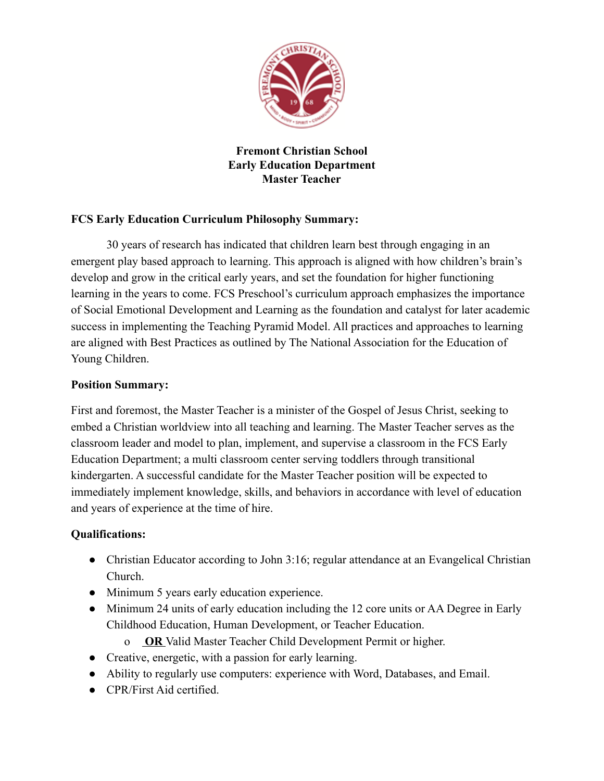

**Fremont Christian School Early Education Department Master Teacher**

## **FCS Early Education Curriculum Philosophy Summary:**

30 years of research has indicated that children learn best through engaging in an emergent play based approach to learning. This approach is aligned with how children's brain's develop and grow in the critical early years, and set the foundation for higher functioning learning in the years to come. FCS Preschool's curriculum approach emphasizes the importance of Social Emotional Development and Learning as the foundation and catalyst for later academic success in implementing the Teaching Pyramid Model. All practices and approaches to learning are aligned with Best Practices as outlined by The National Association for the Education of Young Children.

#### **Position Summary:**

First and foremost, the Master Teacher is a minister of the Gospel of Jesus Christ, seeking to embed a Christian worldview into all teaching and learning. The Master Teacher serves as the classroom leader and model to plan, implement, and supervise a classroom in the FCS Early Education Department; a multi classroom center serving toddlers through transitional kindergarten. A successful candidate for the Master Teacher position will be expected to immediately implement knowledge, skills, and behaviors in accordance with level of education and years of experience at the time of hire.

#### **Qualifications:**

- Christian Educator according to John 3:16; regular attendance at an Evangelical Christian Church.
- Minimum 5 years early education experience.
- Minimum 24 units of early education including the 12 core units or AA Degree in Early Childhood Education, Human Development, or Teacher Education.
	- o **OR** Valid Master Teacher Child Development Permit or higher.
- Creative, energetic, with a passion for early learning.
- Ability to regularly use computers: experience with Word, Databases, and Email.
- CPR/First Aid certified.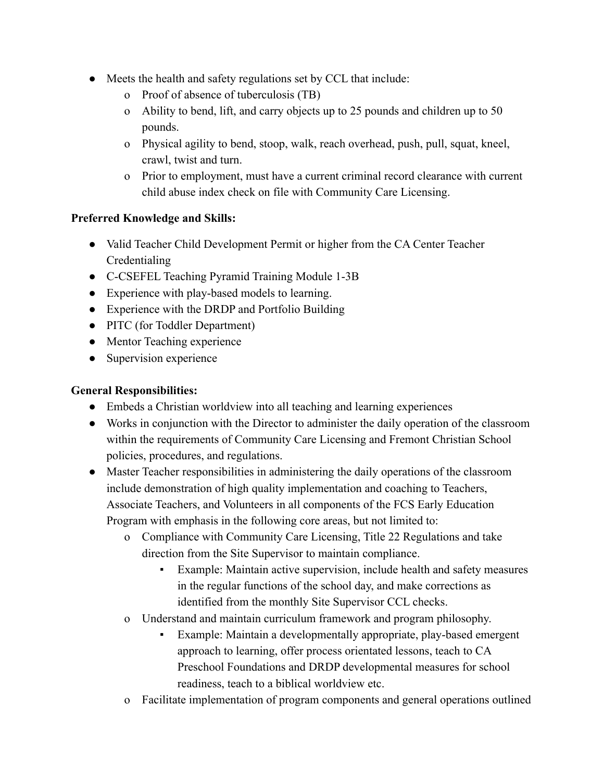- Meets the health and safety regulations set by CCL that include:
	- o Proof of absence of tuberculosis (TB)
	- o Ability to bend, lift, and carry objects up to 25 pounds and children up to 50 pounds.
	- o Physical agility to bend, stoop, walk, reach overhead, push, pull, squat, kneel, crawl, twist and turn.
	- o Prior to employment, must have a current criminal record clearance with current child abuse index check on file with Community Care Licensing.

## **Preferred Knowledge and Skills:**

- Valid Teacher Child Development Permit or higher from the CA Center Teacher Credentialing
- C-CSEFEL Teaching Pyramid Training Module 1-3B
- Experience with play-based models to learning.
- Experience with the DRDP and Portfolio Building
- PITC (for Toddler Department)
- Mentor Teaching experience
- Supervision experience

### **General Responsibilities:**

- Embeds a Christian worldview into all teaching and learning experiences
- Works in conjunction with the Director to administer the daily operation of the classroom within the requirements of Community Care Licensing and Fremont Christian School policies, procedures, and regulations.
- Master Teacher responsibilities in administering the daily operations of the classroom include demonstration of high quality implementation and coaching to Teachers, Associate Teachers, and Volunteers in all components of the FCS Early Education Program with emphasis in the following core areas, but not limited to:
	- o Compliance with Community Care Licensing, Title 22 Regulations and take direction from the Site Supervisor to maintain compliance.
		- Example: Maintain active supervision, include health and safety measures in the regular functions of the school day, and make corrections as identified from the monthly Site Supervisor CCL checks.
	- o Understand and maintain curriculum framework and program philosophy.
		- Example: Maintain a developmentally appropriate, play-based emergent approach to learning, offer process orientated lessons, teach to CA Preschool Foundations and DRDP developmental measures for school readiness, teach to a biblical worldview etc.
	- o Facilitate implementation of program components and general operations outlined